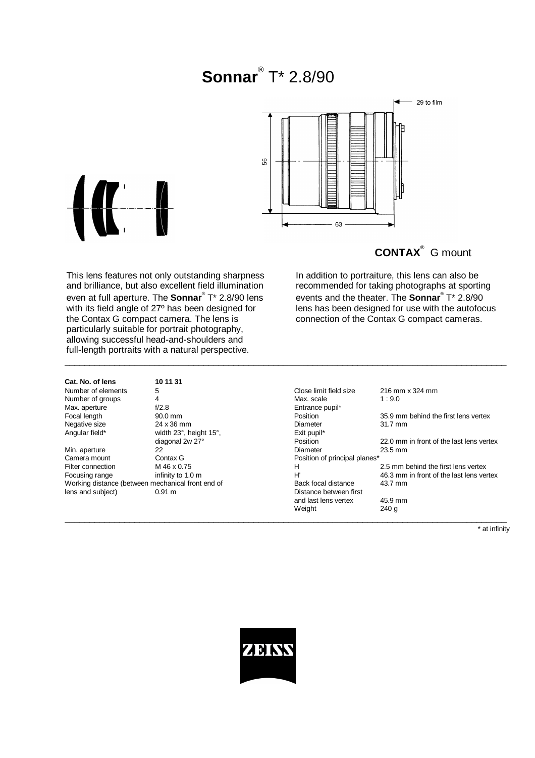# **Sonnar**® T\* 2.8/90

\_\_\_\_\_\_\_\_\_\_\_\_\_\_\_\_\_\_\_\_\_\_\_\_\_\_\_\_\_\_\_\_\_\_\_\_\_\_\_\_\_\_\_\_\_\_\_\_\_\_\_\_\_\_\_\_\_\_\_\_\_\_\_\_\_\_\_\_\_\_\_\_\_\_\_\_\_\_\_\_\_\_\_\_\_\_\_\_\_



## **CONTAX**® G mount

This lens features not only outstanding sharpness and brilliance, but also excellent field illumination even at full aperture. The **Sonnar**® T\* 2.8/90 lens with its field angle of 27º has been designed for the Contax G compact camera. The lens is particularly suitable for portrait photography, allowing successful head-and-shoulders and full-length portraits with a natural perspective.

In addition to portraiture, this lens can also be recommended for taking photographs at sporting events and the theater. The **Sonnar**® T\* 2.8/90 lens has been designed for use with the autofocus connection of the Contax G compact cameras.

| Cat. No. of lens   | 10 11 31  |
|--------------------|-----------|
| Number of elements | 5         |
| Number of groups   | 4         |
| Max. aperture      | f/2.8     |
| Focal length       | 90.0 mm   |
| Negative size      | 24 x 36 n |
| Angular field*     | width 239 |

width 23°, height 15°, diagonal 2w 27° Min. aperture 22<br>Camera mount Contax G Working distance (between mechanical front end of<br>
lens and subject)  $0.91 \text{ m}$ 

5 Close limit field size 216 mm x 324 mm<br>4 Max. scale 1:9.0 Number of groups  $\begin{array}{ccc} 4 & 4 & 4 \end{array}$  Max. scale  $\begin{array}{ccc} 1 & 9.0 & 1 \end{array}$ f/2.8 Entrance pupil\* Form Form Position 35.9 mm behind the first lens vertex<br>
24 x 36 mm 24 x 36 mm Diameter 31.7 mm 24 x 36 mm<br>width 23°, height 15°, The State 21.7 million Exit pupil\* diagonal 2w 27° **Position** 22.0 mm in front of the last lens vertex<br>22 **Diameter** 23.5 mm Contax G **Contact Contact Contact Contact Contact Contact Contact Contact Contact Contact Contact Contact Contact Contact Contact Contact Contact Contact Contact Contact Contact Contact Contact Contact Contact Contact Cont** Filter connection M 46 x 0.75 M and the first lens vertex<br>
Focusing range infinity to 1.0 m and the first lens vertex<br>
H' 46.3 mm in front of the last lens vertex<br>
H' 46.3 mm in front of the last lens vertex Focusing range infinity to 1.0 m and the metal of the last lens vertex<br>
Working distance (between mechanical front end of Back focal distance 43.7 mm Distance between first and last lens vertex 45.9 mm<br>Weight 240 g Weight  $\_$  , and the set of the set of the set of the set of the set of the set of the set of the set of the set of the set of the set of the set of the set of the set of the set of the set of the set of the set of the set of th

\* at infinity